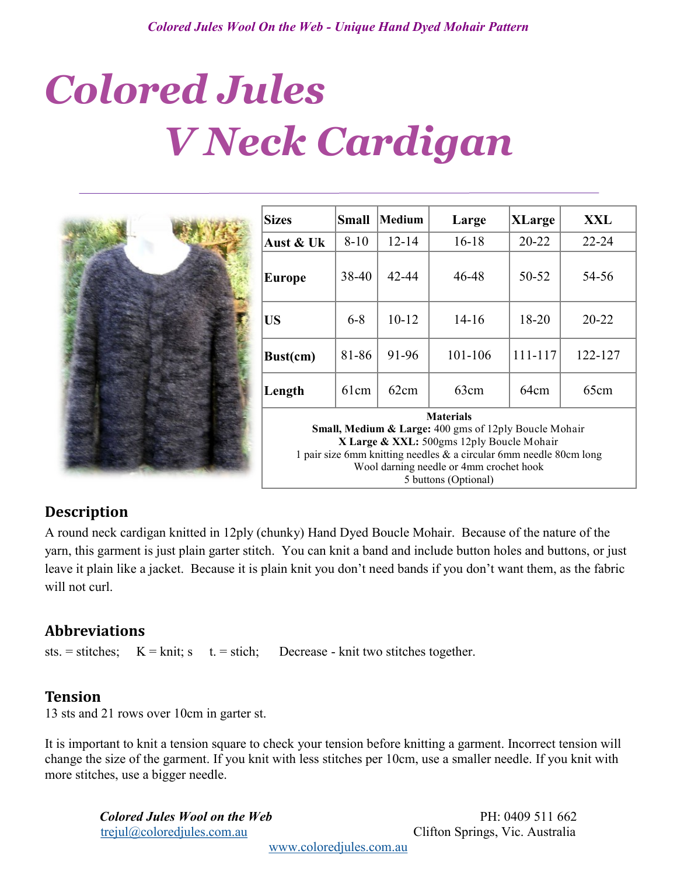# *Colored Jules V Neck Cardigan*



| <b>Sizes</b>                                                                                                                                                                                                                                                                  | Small    | <b>Medium</b> | Large     | <b>XLarge</b> | XXL       |
|-------------------------------------------------------------------------------------------------------------------------------------------------------------------------------------------------------------------------------------------------------------------------------|----------|---------------|-----------|---------------|-----------|
| Aust & Uk                                                                                                                                                                                                                                                                     | $8 - 10$ | $12 - 14$     | $16 - 18$ | $20 - 22$     | 22-24     |
| Europe                                                                                                                                                                                                                                                                        | 38-40    | $42 - 44$     | 46-48     | 50-52         | 54-56     |
| <b>US</b>                                                                                                                                                                                                                                                                     | $6 - 8$  | $10 - 12$     | 14-16     | 18-20         | $20 - 22$ |
| Bust(cm)                                                                                                                                                                                                                                                                      | 81-86    | 91-96         | 101-106   | 111-117       | 122-127   |
| Length                                                                                                                                                                                                                                                                        | 61cm     | 62cm          | 63cm      | 64cm          | 65cm      |
| <b>Materials</b><br><b>Small, Medium &amp; Large:</b> 400 gms of 12ply Boucle Mohair<br>X Large & XXL: 500gms 12ply Boucle Mohair<br>1 pair size 6mm knitting needles $\&$ a circular 6mm needle 80cm long<br>Wool darning needle or 4mm crochet hook<br>5 buttons (Optional) |          |               |           |               |           |

# **Description**

A round neck cardigan knitted in 12ply (chunky) Hand Dyed Boucle Mohair. Because of the nature of the yarn, this garment is just plain garter stitch. You can knit a band and include button holes and buttons, or just leave it plain like a jacket. Because it is plain knit you don't need bands if you don't want them, as the fabric will not curl.

# **Abbreviations**

sts. = stitches;  $K = \text{knit}$ ; s t. = stich; Decrease - knit two stitches together.

# **Tension**

13 sts and 21 rows over 10cm in garter st.

It is important to knit a tension square to check your tension before knitting a garment. Incorrect tension will change the size of the garment. If you knit with less stitches per 10cm, use a smaller needle. If you knit with more stitches, use a bigger needle.

*Colored Jules Wool on the Web* PH: 0409 511 662 [trejul@coloredjules.com.au](mailto:trejul@coloredjules.com.au) Clifton Springs, Vic. Australia

[www.coloredjules.com.au](http://www.coloredjules.com.au/)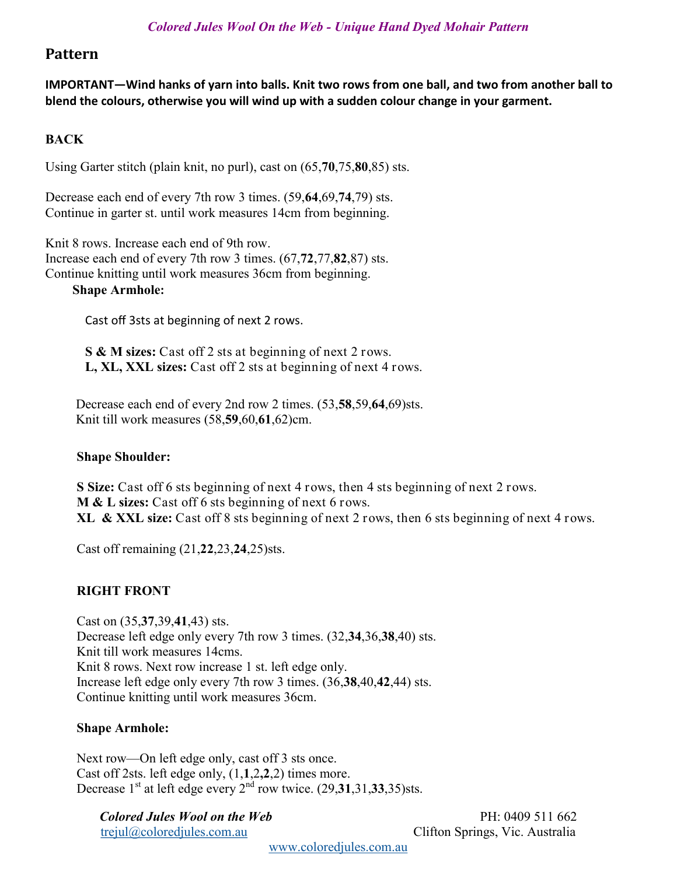# **Pattern**

**IMPORTANT—Wind hanks of yarn into balls. Knit two rows from one ball, and two from another ball to blend the colours, otherwise you will wind up with a sudden colour change in your garment.**

# **BACK**

Using Garter stitch (plain knit, no purl), cast on (65,**70**,75,**80**,85) sts.

Decrease each end of every 7th row 3 times. (59,**64**,69,**74**,79) sts. Continue in garter st. until work measures 14cm from beginning.

Knit 8 rows. Increase each end of 9th row. Increase each end of every 7th row 3 times. (67,**72**,77,**82**,87) sts. Continue knitting until work measures 36cm from beginning.

## **Shape Armhole:**

Cast off 3sts at beginning of next 2 rows.

**S & M sizes:** Cast off 2 sts at beginning of next 2 rows. **L, XL, XXL sizes:** Cast off 2 sts at beginning of next 4 rows.

 Decrease each end of every 2nd row 2 times. (53,**58**,59,**64**,69)sts. Knit till work measures (58,**59**,60,**61**,62)cm.

## **Shape Shoulder:**

**S Size:** Cast off 6 sts beginning of next 4 rows, then 4 sts beginning of next 2 rows. **M & L sizes:** Cast off 6 sts beginning of next 6 rows. **XL & XXL size:** Cast off 8 sts beginning of next 2 rows, then 6 sts beginning of next 4 rows.

Cast off remaining (21,**22**,23,**24**,25)sts.

# **RIGHT FRONT**

Cast on (35,**37**,39,**41**,43) sts. Decrease left edge only every 7th row 3 times. (32,**34**,36,**38**,40) sts. Knit till work measures 14cms. Knit 8 rows. Next row increase 1 st. left edge only. Increase left edge only every 7th row 3 times. (36,**38**,40,**42**,44) sts. Continue knitting until work measures 36cm.

## **Shape Armhole:**

Next row—On left edge only, cast off 3 sts once. Cast off 2sts. left edge only, (1,**1**,2**,2**,2) times more. Decrease  $1<sup>st</sup>$  at left edge every  $2<sup>nd</sup>$  row twice.  $(29,31,31,33,35)$ sts.

*Colored Jules Wool on the Web* PH: 0409 511 662 [trejul@coloredjules.com.au](mailto:trejul@coloredjules.com.au) Clifton Springs, Vic. Australia

[www.coloredjules.com.au](http://www.coloredjules.com.au/)